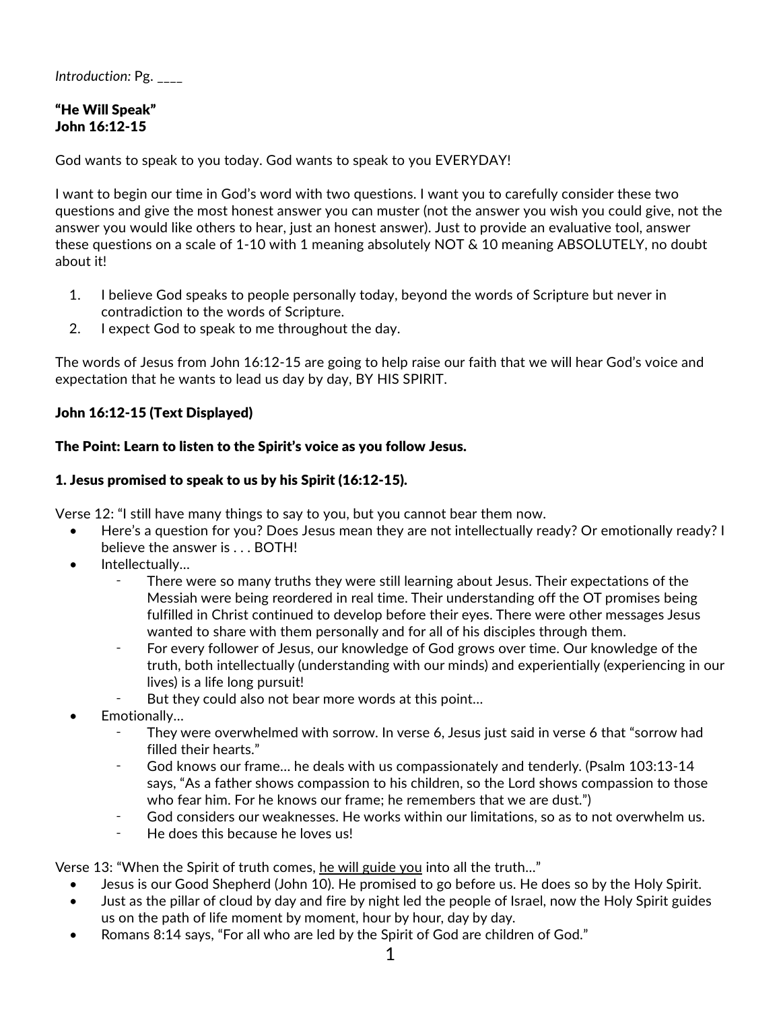*Introduction:* Pg. \_\_\_\_

# "He Will Speak" John 16:12-15

God wants to speak to you today. God wants to speak to you EVERYDAY!

I want to begin our time in God's word with two questions. I want you to carefully consider these two questions and give the most honest answer you can muster (not the answer you wish you could give, not the answer you would like others to hear, just an honest answer). Just to provide an evaluative tool, answer these questions on a scale of 1-10 with 1 meaning absolutely NOT & 10 meaning ABSOLUTELY, no doubt about it!

- 1. I believe God speaks to people personally today, beyond the words of Scripture but never in contradiction to the words of Scripture.
- 2. I expect God to speak to me throughout the day.

The words of Jesus from John 16:12-15 are going to help raise our faith that we will hear God's voice and expectation that he wants to lead us day by day, BY HIS SPIRIT.

### John 16:12-15 (Text Displayed)

#### The Point: Learn to listen to the Spirit's voice as you follow Jesus.

#### 1. Jesus promised to speak to us by his Spirit (16:12-15).

Verse 12: "I still have many things to say to you, but you cannot bear them now.

- Here's a question for you? Does Jesus mean they are not intellectually ready? Or emotionally ready? I believe the answer is . . . BOTH!
- Intellectually...
	- There were so many truths they were still learning about Jesus. Their expectations of the Messiah were being reordered in real time. Their understanding off the OT promises being fulfilled in Christ continued to develop before their eyes. There were other messages Jesus wanted to share with them personally and for all of his disciples through them.
	- For every follower of Jesus, our knowledge of God grows over time. Our knowledge of the truth, both intellectually (understanding with our minds) and experientially (experiencing in our lives) is a life long pursuit!
	- But they could also not bear more words at this point...
- Emotionally…
	- They were overwhelmed with sorrow. In verse 6, Jesus just said in verse 6 that "sorrow had filled their hearts."
	- God knows our frame... he deals with us compassionately and tenderly. (Psalm 103:13-14 says, "As a father shows compassion to his children, so the Lord shows compassion to those who fear him. For he knows our frame; he remembers that we are dust.")
	- ⁃ God considers our weaknesses. He works within our limitations, so as to not overwhelm us.
	- He does this because he loves us!

Verse 13: "When the Spirit of truth comes, he will guide you into all the truth…"

- Jesus is our Good Shepherd (John 10). He promised to go before us. He does so by the Holy Spirit.
- Just as the pillar of cloud by day and fire by night led the people of Israel, now the Holy Spirit guides us on the path of life moment by moment, hour by hour, day by day.
- Romans 8:14 says, "For all who are led by the Spirit of God are children of God."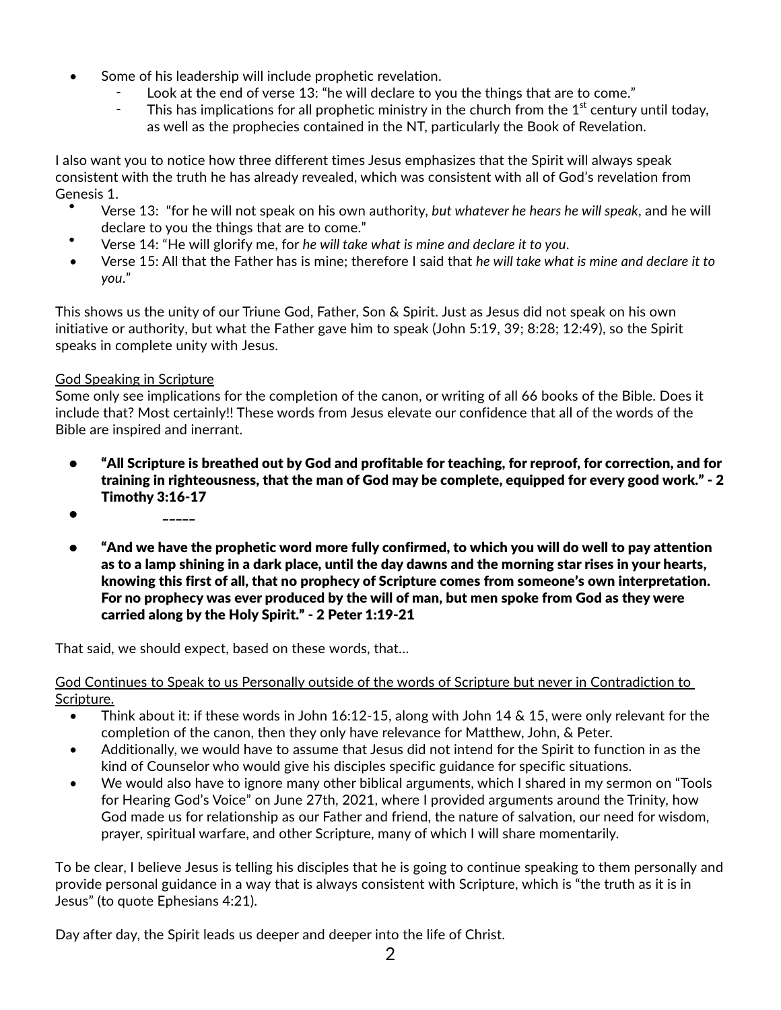- Some of his leadership will include prophetic revelation.
	- Look at the end of verse 13: "he will declare to you the things that are to come."
	- This has implications for all prophetic ministry in the church from the  $1<sup>st</sup>$  century until today, as well as the prophecies contained in the NT, particularly the Book of Revelation.

I also want you to notice how three different times Jesus emphasizes that the Spirit will always speak consistent with the truth he has already revealed, which was consistent with all of God's revelation from Genesis 1.

- Verse 13: "for he will not speak on his own authority, *but whatever he hears he will speak*, and he will declare to you the things that are to come."
- Verse 14: "He will glorify me, for *he will take what is mine and declare it to you*.
- Verse 15: All that the Father has is mine; therefore I said that *he will take what is mine and declare it to you*."

This shows us the unity of our Triune God, Father, Son & Spirit. Just as Jesus did not speak on his own initiative or authority, but what the Father gave him to speak (John 5:19, 39; 8:28; 12:49), so the Spirit speaks in complete unity with Jesus.

# God Speaking in Scripture

Some only see implications for the completion of the canon, or writing of all 66 books of the Bible. Does it include that? Most certainly!! These words from Jesus elevate our confidence that all of the words of the Bible are inspired and inerrant.

- "All Scripture is breathed out by God and profitable for teaching, for reproof, for correction, and for training in righteousness, that the man of God may be complete, equipped for every good work." - 2 Timothy 3:16-17
- $\bullet$   $\qquad \qquad \overline{\phantom{a}}$
- "And we have the prophetic word more fully confirmed, to which you will do well to pay attention as to a lamp shining in a dark place, until the day dawns and the morning star rises in your hearts, knowing this first of all, that no prophecy of Scripture comes from someone's own interpretation. For no prophecy was ever produced by the will of man, but men spoke from God as they were carried along by the Holy Spirit." - 2 Peter 1:19-21

That said, we should expect, based on these words, that…

God Continues to Speak to us Personally outside of the words of Scripture but never in Contradiction to Scripture.

- Think about it: if these words in John 16:12-15, along with John 14 & 15, were only relevant for the completion of the canon, then they only have relevance for Matthew, John, & Peter.
- Additionally, we would have to assume that Jesus did not intend for the Spirit to function in as the kind of Counselor who would give his disciples specific guidance for specific situations.
- We would also have to ignore many other biblical arguments, which I shared in my sermon on "Tools for Hearing God's Voice" on June 27th, 2021, where I provided arguments around the Trinity, how God made us for relationship as our Father and friend, the nature of salvation, our need for wisdom, prayer, spiritual warfare, and other Scripture, many of which I will share momentarily.

To be clear, I believe Jesus is telling his disciples that he is going to continue speaking to them personally and provide personal guidance in a way that is always consistent with Scripture, which is "the truth as it is in Jesus" (to quote Ephesians 4:21).

Day after day, the Spirit leads us deeper and deeper into the life of Christ.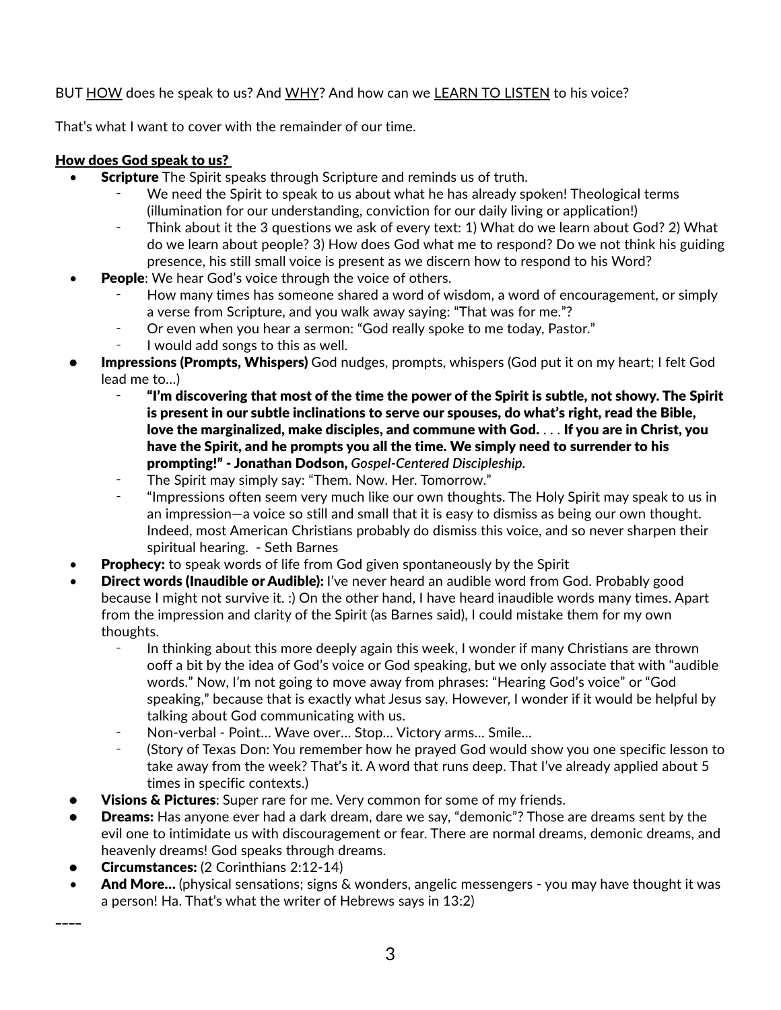## BUT HOW does he speak to us? And WHY? And how can we LEARN TO LISTEN to his voice?

That's what I want to cover with the remainder of our time.

## How does God speak to us?

- Scripture The Spirit speaks through Scripture and reminds us of truth.
	- We need the Spirit to speak to us about what he has already spoken! Theological terms (illumination for our understanding, conviction for our daily living or application!)
	- ⁃ Think about it the 3 questions we ask of every text: 1) What do we learn about God? 2) What do we learn about people? 3) How does God what me to respond? Do we not think his guiding presence, his still small voice is present as we discern how to respond to his Word?
- **People:** We hear God's voice through the voice of others.
	- How many times has someone shared a word of wisdom, a word of encouragement, or simply a verse from Scripture, and you walk away saying: "That was for me."?
	- Or even when you hear a sermon: "God really spoke to me today, Pastor."
	- I would add songs to this as well.
- **Impressions (Prompts, Whispers)** God nudges, prompts, whispers (God put it on my heart; I felt God lead me to…)
	- ⁃ "I'm discovering that most of the time the power of the Spirit is subtle, not showy. The Spirit is present in our subtle inclinations to serve our spouses, do what's right, read the Bible, love the marginalized, make disciples, and commune with God. . . . If you are in Christ, you have the Spirit, and he prompts you all the time. We simply need to surrender to his prompting!" - Jonathan Dodson, *Gospel-Centered Discipleship.*
	- The Spirit may simply say: "Them. Now. Her. Tomorrow."
	- ⁃ "Impressions often seem very much like our own thoughts. The Holy Spirit may speak to us in an impression—a voice so still and small that it is easy to dismiss as being our own thought. Indeed, most American Christians probably do dismiss this voice, and so never sharpen their spiritual hearing. - Seth Barnes
- **Prophecy:** to speak words of life from God given spontaneously by the Spirit
- **Direct words (Inaudible or Audible):** I've never heard an audible word from God. Probably good because I might not survive it. :) On the other hand, I have heard inaudible words many times. Apart from the impression and clarity of the Spirit (as Barnes said), I could mistake them for my own thoughts.
	- In thinking about this more deeply again this week, I wonder if many Christians are thrown ooff a bit by the idea of God's voice or God speaking, but we only associate that with "audible words." Now, I'm not going to move away from phrases: "Hearing God's voice" or "God speaking," because that is exactly what Jesus say. However, I wonder if it would be helpful by talking about God communicating with us.
	- Non-verbal Point... Wave over... Stop... Victory arms... Smile...
	- ⁃ (Story of Texas Don: You remember how he prayed God would show you one specific lesson to take away from the week? That's it. A word that runs deep. That I've already applied about 5 times in specific contexts.)
- Visions & Pictures: Super rare for me. Very common for some of my friends.
- **Dreams:** Has anyone ever had a dark dream, dare we say, "demonic"? Those are dreams sent by the evil one to intimidate us with discouragement or fear. There are normal dreams, demonic dreams, and heavenly dreams! God speaks through dreams.
- Circumstances: (2 Corinthians 2:12-14)

 $\overline{\phantom{a}}$ 

And More... (physical sensations; signs & wonders, angelic messengers - you may have thought it was a person! Ha. That's what the writer of Hebrews says in 13:2)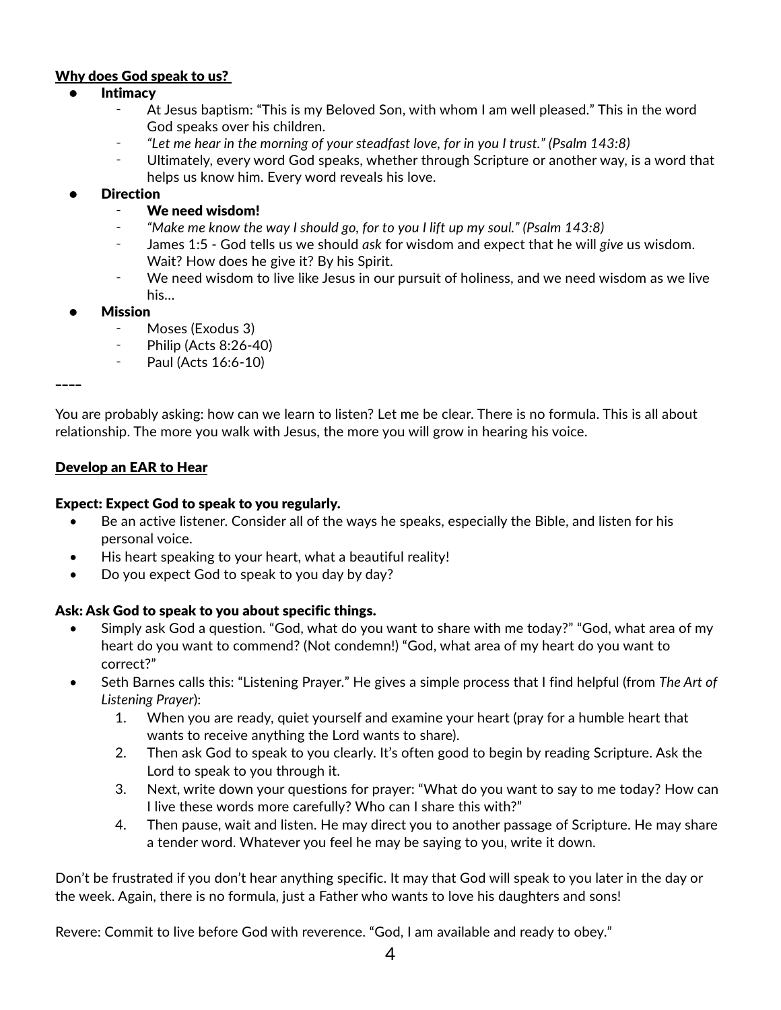### Why does God speak to us?

#### **Intimacy**

- At Jesus baptism: "This is my Beloved Son, with whom I am well pleased." This in the word God speaks over his children.
- ⁃ *"Let me hear in the morning of your steadfast love, for in you I trust." (Psalm 143:8)*
- Ultimately, every word God speaks, whether through Scripture or another way, is a word that helps us know him. Every word reveals his love.

### **Direction**

- ⁃ We need wisdom!
- ⁃ *"Make me know the way I should go, for to you I lift up my soul." (Psalm 143:8)*
- ⁃ James 1:5 God tells us we should *ask* for wisdom and expect that he will *give* us wisdom. Wait? How does he give it? By his Spirit.
- ⁃ We need wisdom to live like Jesus in our pursuit of holiness, and we need wisdom as we live his…

#### **Mission**

- Moses (Exodus 3)
- **Philip (Acts 8:26-40)**
- Paul (Acts 16:6-10)

\_\_\_\_

You are probably asking: how can we learn to listen? Let me be clear. There is no formula. This is all about relationship. The more you walk with Jesus, the more you will grow in hearing his voice.

#### Develop an EAR to Hear

#### Expect: Expect God to speak to you regularly.

- Be an active listener. Consider all of the ways he speaks, especially the Bible, and listen for his personal voice.
- His heart speaking to your heart, what a beautiful reality!
- Do you expect God to speak to you day by day?

### Ask: Ask God to speak to you about specific things.

- Simply ask God a question. "God, what do you want to share with me today?" "God, what area of my heart do you want to commend? (Not condemn!) "God, what area of my heart do you want to correct?"
- Seth Barnes calls this: "Listening Prayer." He gives a simple process that I find helpful (from *The Art of Listening Prayer*):
	- 1. When you are ready, quiet yourself and examine your heart (pray for a humble heart that wants to receive anything the Lord wants to share).
	- 2. Then ask God to speak to you clearly. It's often good to begin by reading Scripture. Ask the Lord to speak to you through it.
	- 3. Next, write down your questions for prayer: "What do you want to say to me today? How can I live these words more carefully? Who can I share this with?"
	- 4. Then pause, wait and listen. He may direct you to another passage of Scripture. He may share a tender word. Whatever you feel he may be saying to you, write it down.

Don't be frustrated if you don't hear anything specific. It may that God will speak to you later in the day or the week. Again, there is no formula, just a Father who wants to love his daughters and sons!

Revere: Commit to live before God with reverence. "God, I am available and ready to obey."